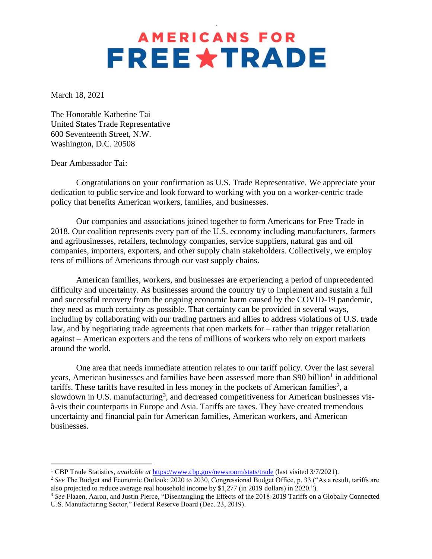## **AMERICANS FOR FREE \* TRADE**

March 18, 2021

The Honorable Katherine Tai United States Trade Representative 600 Seventeenth Street, N.W. Washington, D.C. 20508

Dear Ambassador Tai:

Congratulations on your confirmation as U.S. Trade Representative. We appreciate your dedication to public service and look forward to working with you on a worker-centric trade policy that benefits American workers, families, and businesses.

Our companies and associations joined together to form Americans for Free Trade in 2018. Our coalition represents every part of the U.S. economy including manufacturers, farmers and agribusinesses, retailers, technology companies, service suppliers, natural gas and oil companies, importers, exporters, and other supply chain stakeholders. Collectively, we employ tens of millions of Americans through our vast supply chains.

American families, workers, and businesses are experiencing a period of unprecedented difficulty and uncertainty. As businesses around the country try to implement and sustain a full and successful recovery from the ongoing economic harm caused by the COVID-19 pandemic, they need as much certainty as possible. That certainty can be provided in several ways, including by collaborating with our trading partners and allies to address violations of U.S. trade law, and by negotiating trade agreements that open markets for – rather than trigger retaliation against – American exporters and the tens of millions of workers who rely on export markets around the world.

One area that needs immediate attention relates to our tariff policy. Over the last several years, American businesses and families have been assessed more than \$90 billion<sup>1</sup> in additional tariffs. These tariffs have resulted in less money in the pockets of American families<sup>2</sup>, a slowdown in U.S. manufacturing<sup>3</sup>, and decreased competitiveness for American businesses visà-vis their counterparts in Europe and Asia. Tariffs are taxes. They have created tremendous uncertainty and financial pain for American families, American workers, and American businesses.

<sup>1</sup> CBP Trade Statistics, *available at* <https://www.cbp.gov/newsroom/stats/trade> (last visited 3/7/2021).

<sup>&</sup>lt;sup>2</sup> See The Budget and Economic Outlook: 2020 to 2030, Congressional Budget Office, p. 33 ("As a result, tariffs are also projected to reduce average real household income by \$1,277 (in 2019 dollars) in 2020.").

<sup>&</sup>lt;sup>3</sup> See Flaaen, Aaron, and Justin Pierce, "Disentangling the Effects of the 2018-2019 Tariffs on a Globally Connected U.S. Manufacturing Sector," Federal Reserve Board (Dec. 23, 2019).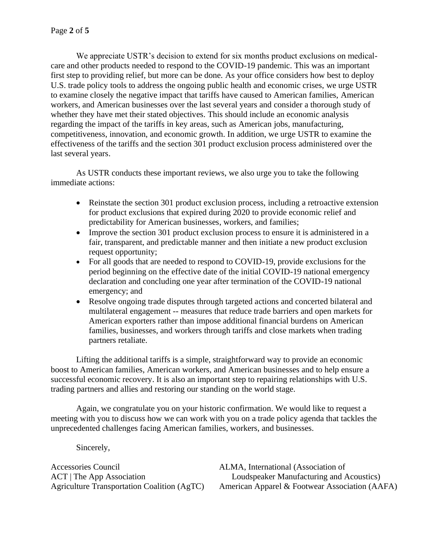We appreciate USTR's decision to extend for six months product exclusions on medicalcare and other products needed to respond to the COVID-19 pandemic. This was an important first step to providing relief, but more can be done. As your office considers how best to deploy U.S. trade policy tools to address the ongoing public health and economic crises, we urge USTR to examine closely the negative impact that tariffs have caused to American families, American workers, and American businesses over the last several years and consider a thorough study of whether they have met their stated objectives. This should include an economic analysis regarding the impact of the tariffs in key areas, such as American jobs, manufacturing, competitiveness, innovation, and economic growth. In addition, we urge USTR to examine the effectiveness of the tariffs and the section 301 product exclusion process administered over the last several years.

As USTR conducts these important reviews, we also urge you to take the following immediate actions:

- Reinstate the section 301 product exclusion process, including a retroactive extension for product exclusions that expired during 2020 to provide economic relief and predictability for American businesses, workers, and families;
- Improve the section 301 product exclusion process to ensure it is administered in a fair, transparent, and predictable manner and then initiate a new product exclusion request opportunity;
- For all goods that are needed to respond to COVID-19, provide exclusions for the period beginning on the effective date of the initial COVID-19 national emergency declaration and concluding one year after termination of the COVID-19 national emergency; and
- Resolve ongoing trade disputes through targeted actions and concerted bilateral and multilateral engagement -- measures that reduce trade barriers and open markets for American exporters rather than impose additional financial burdens on American families, businesses, and workers through tariffs and close markets when trading partners retaliate.

Lifting the additional tariffs is a simple, straightforward way to provide an economic boost to American families, American workers, and American businesses and to help ensure a successful economic recovery. It is also an important step to repairing relationships with U.S. trading partners and allies and restoring our standing on the world stage.

Again, we congratulate you on your historic confirmation. We would like to request a meeting with you to discuss how we can work with you on a trade policy agenda that tackles the unprecedented challenges facing American families, workers, and businesses.

Sincerely,

Accessories Council ACT | The App Association Agriculture Transportation Coalition (AgTC) ALMA, International (Association of Loudspeaker Manufacturing and Acoustics) American Apparel & Footwear Association (AAFA)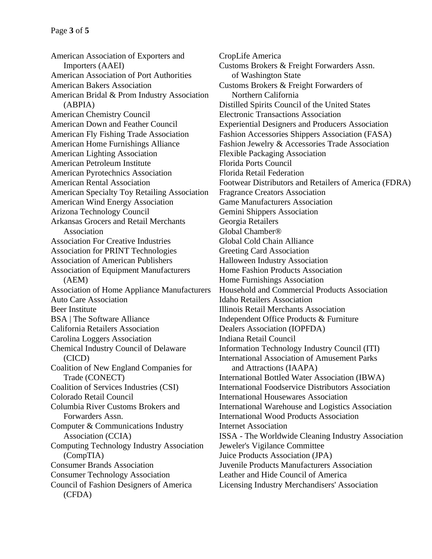American Association of Exporters and Importers (AAEI) American Association of Port Authorities American Bakers Association American Bridal & Prom Industry Association (ABPIA) American Chemistry Council American Down and Feather Council American Fly Fishing Trade Association American Home Furnishings Alliance American Lighting Association American Petroleum Institute American Pyrotechnics Association American Rental Association American Specialty Toy Retailing Association American Wind Energy Association Arizona Technology Council Arkansas Grocers and Retail Merchants Association Association For Creative Industries Association for PRINT Technologies Association of American Publishers Association of Equipment Manufacturers (AEM) Association of Home Appliance Manufacturers Auto Care Association Beer Institute BSA | The Software Alliance California Retailers Association Carolina Loggers Association Chemical Industry Council of Delaware (CICD) Coalition of New England Companies for Trade (CONECT) Coalition of Services Industries (CSI) Colorado Retail Council Columbia River Customs Brokers and Forwarders Assn. Computer & Communications Industry Association (CCIA) Computing Technology Industry Association (CompTIA) Consumer Brands Association Consumer Technology Association Council of Fashion Designers of America (CFDA)

CropLife America Customs Brokers & Freight Forwarders Assn. of Washington State Customs Brokers & Freight Forwarders of Northern California Distilled Spirits Council of the United States Electronic Transactions Association Experiential Designers and Producers Association Fashion Accessories Shippers Association (FASA) Fashion Jewelry & Accessories Trade Association Flexible Packaging Association Florida Ports Council Florida Retail Federation Footwear Distributors and Retailers of America (FDRA) Fragrance Creators Association Game Manufacturers Association Gemini Shippers Association Georgia Retailers Global Chamber® Global Cold Chain Alliance Greeting Card Association Halloween Industry Association Home Fashion Products Association Home Furnishings Association Household and Commercial Products Association Idaho Retailers Association Illinois Retail Merchants Association Independent Office Products & Furniture Dealers Association (IOPFDA) Indiana Retail Council Information Technology Industry Council (ITI) International Association of Amusement Parks and Attractions (IAAPA) International Bottled Water Association (IBWA) International Foodservice Distributors Association International Housewares Association International Warehouse and Logistics Association International Wood Products Association Internet Association ISSA - The Worldwide Cleaning Industry Association Jeweler's Vigilance Committee Juice Products Association (JPA) Juvenile Products Manufacturers Association Leather and Hide Council of America Licensing Industry Merchandisers' Association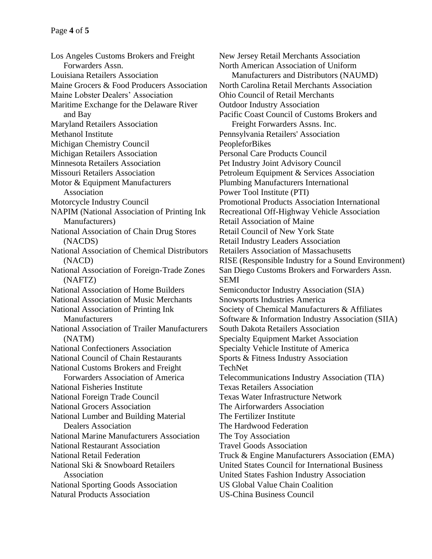Los Angeles Customs Brokers and Freight Forwarders Assn. Louisiana Retailers Association Maine Grocers & Food Producers Association Maine Lobster Dealers' Association Maritime Exchange for the Delaware River and Bay Maryland Retailers Association Methanol Institute Michigan Chemistry Council Michigan Retailers Association Minnesota Retailers Association Missouri Retailers Association Motor & Equipment Manufacturers Association Motorcycle Industry Council NAPIM (National Association of Printing Ink Manufacturers) National Association of Chain Drug Stores (NACDS) National Association of Chemical Distributors (NACD) National Association of Foreign-Trade Zones (NAFTZ) National Association of Home Builders National Association of Music Merchants National Association of Printing Ink Manufacturers National Association of Trailer Manufacturers (NATM) National Confectioners Association National Council of Chain Restaurants National Customs Brokers and Freight Forwarders Association of America National Fisheries Institute National Foreign Trade Council National Grocers Association National Lumber and Building Material Dealers Association National Marine Manufacturers Association National Restaurant Association National Retail Federation National Ski & Snowboard Retailers Association National Sporting Goods Association Natural Products Association

New Jersey Retail Merchants Association North American Association of Uniform Manufacturers and Distributors (NAUMD) North Carolina Retail Merchants Association Ohio Council of Retail Merchants Outdoor Industry Association Pacific Coast Council of Customs Brokers and Freight Forwarders Assns. Inc. Pennsylvania Retailers' Association PeopleforBikes Personal Care Products Council Pet Industry Joint Advisory Council Petroleum Equipment & Services Association Plumbing Manufacturers International Power Tool Institute (PTI) Promotional Products Association International Recreational Off-Highway Vehicle Association Retail Association of Maine Retail Council of New York State Retail Industry Leaders Association Retailers Association of Massachusetts RISE (Responsible Industry for a Sound Environment) San Diego Customs Brokers and Forwarders Assn. SEMI Semiconductor Industry Association (SIA) Snowsports Industries America Society of Chemical Manufacturers & Affiliates Software & Information Industry Association (SIIA) South Dakota Retailers Association Specialty Equipment Market Association Specialty Vehicle Institute of America Sports & Fitness Industry Association TechNet Telecommunications Industry Association (TIA) Texas Retailers Association Texas Water Infrastructure Network The Airforwarders Association The Fertilizer Institute The Hardwood Federation The Toy Association Travel Goods Association Truck & Engine Manufacturers Association (EMA) United States Council for International Business United States Fashion Industry Association US Global Value Chain Coalition US-China Business Council